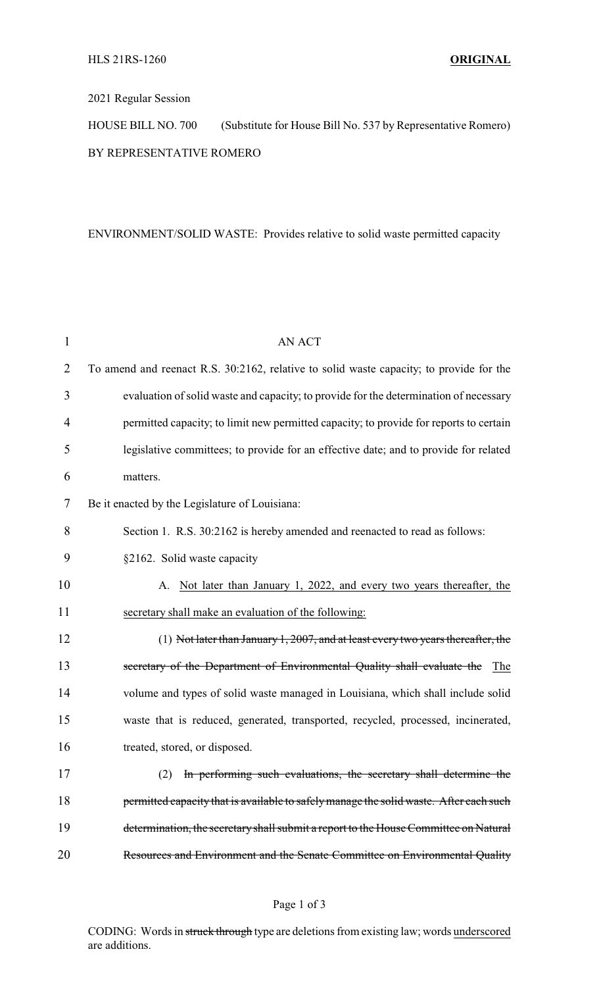## 2021 Regular Session

HOUSE BILL NO. 700 (Substitute for House Bill No. 537 by Representative Romero) BY REPRESENTATIVE ROMERO

## ENVIRONMENT/SOLID WASTE: Provides relative to solid waste permitted capacity

| 1              | <b>AN ACT</b>                                                                           |
|----------------|-----------------------------------------------------------------------------------------|
| $\overline{2}$ | To amend and reenact R.S. 30:2162, relative to solid waste capacity; to provide for the |
| 3              | evaluation of solid waste and capacity; to provide for the determination of necessary   |
| 4              | permitted capacity; to limit new permitted capacity; to provide for reports to certain  |
| 5              | legislative committees; to provide for an effective date; and to provide for related    |
| 6              | matters.                                                                                |
| 7              | Be it enacted by the Legislature of Louisiana:                                          |
| 8              | Section 1. R.S. 30:2162 is hereby amended and reenacted to read as follows:             |
| 9              | §2162. Solid waste capacity                                                             |
| 10             | Not later than January 1, 2022, and every two years thereafter, the<br>A.               |
| 11             | secretary shall make an evaluation of the following:                                    |
| 12             | $(1)$ Not later than January 1, 2007, and at least every two years thereafter, the      |
| 13             | secretary of the Department of Environmental Quality shall evaluate the The             |
| 14             | volume and types of solid waste managed in Louisiana, which shall include solid         |
| 15             | waste that is reduced, generated, transported, recycled, processed, incinerated,        |
| 16             | treated, stored, or disposed.                                                           |
| 17             | (2) In performing such evaluations, the secretary shall determine the                   |
| 18             | permitted capacity that is available to safely manage the solid waste. After each such  |
| 19             | determination, the secretary shall submit a report to the House Committee on Natural    |
| 20             | Resources and Environment and the Senate Committee on Environmental Quality             |

## Page 1 of 3

CODING: Words in struck through type are deletions from existing law; words underscored are additions.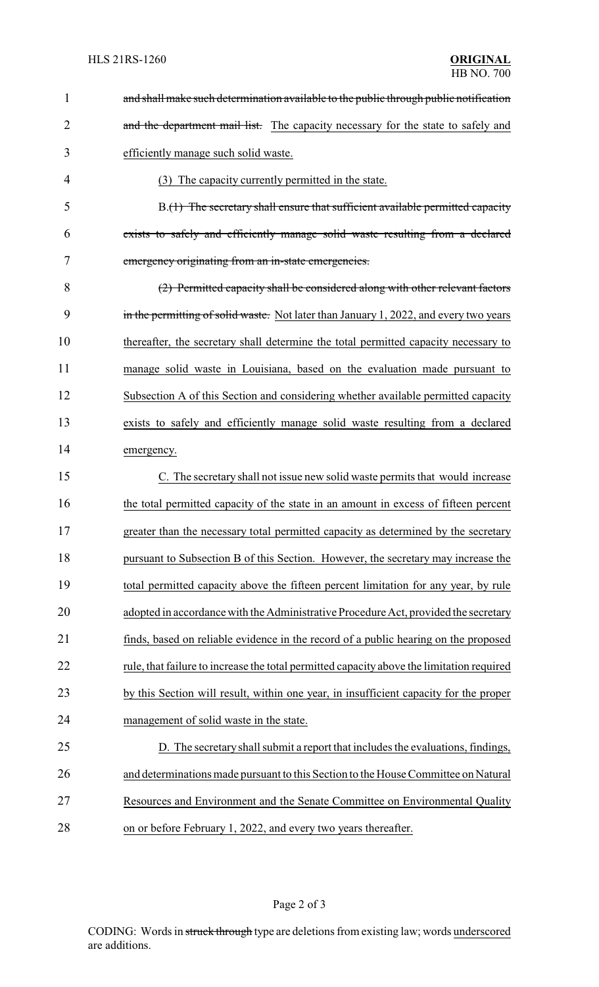| $\mathbf 1$    | and shall make such determination available to the public through public notification     |
|----------------|-------------------------------------------------------------------------------------------|
| $\overline{2}$ | and the department mail list. The capacity necessary for the state to safely and          |
| 3              | efficiently manage such solid waste.                                                      |
| 4              | (3) The capacity currently permitted in the state.                                        |
| 5              | B.(1) The secretary shall ensure that sufficient available permitted capacity             |
| 6              | exists to safely and efficiently manage solid waste resulting from a declared             |
| 7              | emergency originating from an in-state emergencies.                                       |
| 8              | (2) Permitted capacity shall be considered along with other relevant factors              |
| 9              | in the permitting of solid waste. Not later than January 1, 2022, and every two years     |
| 10             | thereafter, the secretary shall determine the total permitted capacity necessary to       |
| 11             | manage solid waste in Louisiana, based on the evaluation made pursuant to                 |
| 12             | Subsection A of this Section and considering whether available permitted capacity         |
| 13             | exists to safely and efficiently manage solid waste resulting from a declared             |
| 14             | emergency.                                                                                |
| 15             | C. The secretary shall not issue new solid waste permits that would increase              |
| 16             | the total permitted capacity of the state in an amount in excess of fifteen percent       |
| 17             | greater than the necessary total permitted capacity as determined by the secretary        |
| 18             | pursuant to Subsection B of this Section. However, the secretary may increase the         |
| 19             | total permitted capacity above the fifteen percent limitation for any year, by rule       |
| 20             | adopted in accordance with the Administrative Procedure Act, provided the secretary       |
| 21             | finds, based on reliable evidence in the record of a public hearing on the proposed       |
| 22             | rule, that failure to increase the total permitted capacity above the limitation required |
| 23             | by this Section will result, within one year, in insufficient capacity for the proper     |
| 24             | management of solid waste in the state.                                                   |
| 25             | D. The secretary shall submit a report that includes the evaluations, findings,           |
| 26             | and determinations made pursuant to this Section to the House Committee on Natural        |
| 27             | Resources and Environment and the Senate Committee on Environmental Quality               |
| 28             | on or before February 1, 2022, and every two years thereafter.                            |